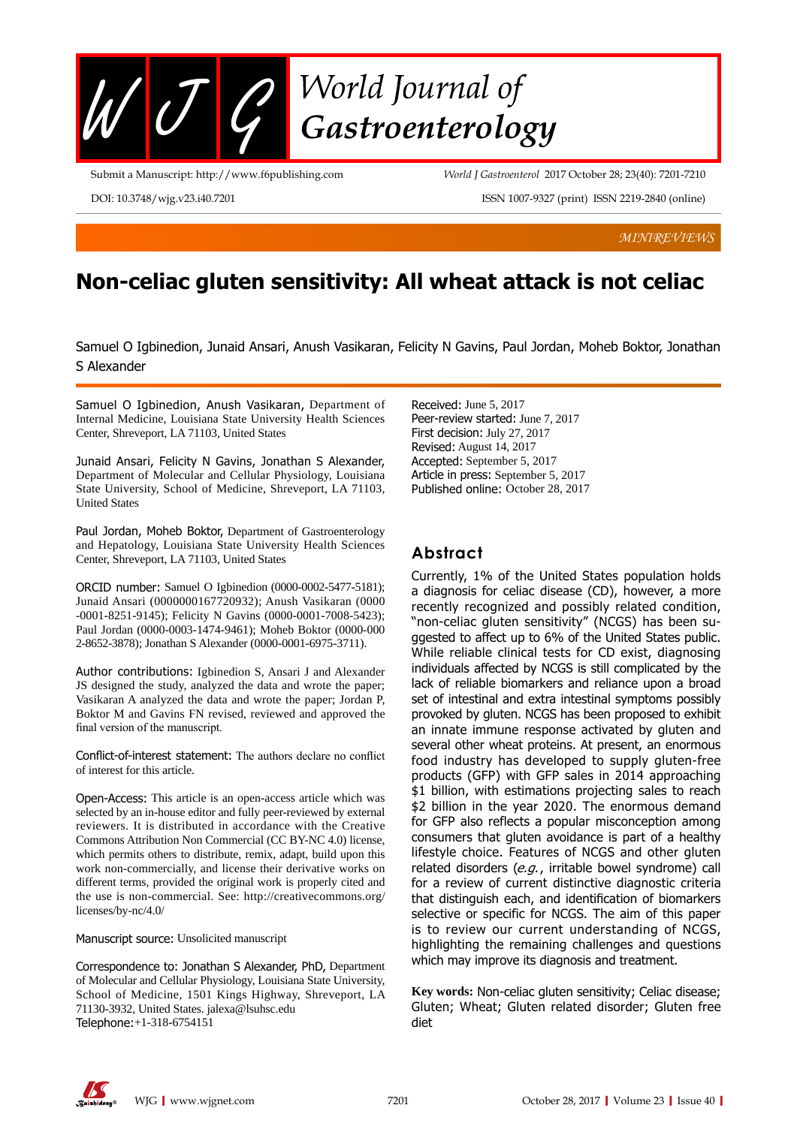

Submit a Manuscript: http://www.f6publishing.com

*World J Gastroenterol* 2017 October 28; 23(40): 7201-7210

DOI: 10.3748/wjg.v23.i40.7201

ISSN 1007-9327 (print) ISSN 2219-2840 (online)

*MINIREVIEWS*

# **Non-celiac gluten sensitivity: All wheat attack is not celiac**

Samuel O Igbinedion, Junaid Ansari, Anush Vasikaran, Felicity N Gavins, Paul Jordan, Moheb Boktor, Jonathan S Alexander

Samuel O Igbinedion, Anush Vasikaran, Department of Internal Medicine, Louisiana State University Health Sciences Center, Shreveport, LA 71103, United States

Junaid Ansari, Felicity N Gavins, Jonathan S Alexander, Department of Molecular and Cellular Physiology, Louisiana State University, School of Medicine, Shreveport, LA 71103, United States

Paul Jordan, Moheb Boktor, Department of Gastroenterology and Hepatology, Louisiana State University Health Sciences Center, Shreveport, LA 71103, United States

ORCID number: Samuel O Igbinedion (0000-0002-5477-5181); Junaid Ansari (0000000167720932); Anush Vasikaran (0000 -0001-8251-9145); Felicity N Gavins (0000-0001-7008-5423); Paul Jordan (0000-0003-1474-9461); Moheb Boktor (0000-000 2-8652-3878); Jonathan S Alexander (0000-0001-6975-3711).

Author contributions: Igbinedion S, Ansari J and Alexander JS designed the study, analyzed the data and wrote the paper; Vasikaran A analyzed the data and wrote the paper; Jordan P, Boktor M and Gavins FN revised, reviewed and approved the final version of the manuscript.

Conflict-of-interest statement: The authors declare no conflict of interest for this article.

Open-Access: This article is an open-access article which was selected by an in-house editor and fully peer-reviewed by external reviewers. It is distributed in accordance with the Creative Commons Attribution Non Commercial (CC BY-NC 4.0) license, which permits others to distribute, remix, adapt, build upon this work non-commercially, and license their derivative works on different terms, provided the original work is properly cited and the use is non-commercial. See: http://creativecommons.org/ licenses/by-nc/4.0/

Manuscript source: Unsolicited manuscript

Correspondence to: Jonathan S Alexander, PhD, Department of Molecular and Cellular Physiology, Louisiana State University, School of Medicine, 1501 Kings Highway, Shreveport, LA 71130-3932, United States. jalexa@lsuhsc.edu Telephone:+1-318-6754151

Received: June 5, 2017 Peer-review started: June 7, 2017 First decision: July 27, 2017 Revised: August 14, 2017 Accepted: September 5, 2017 Article in press: September 5, 2017 Published online: October 28, 2017

## **Abstract**

Currently, 1% of the United States population holds a diagnosis for celiac disease (CD), however, a more recently recognized and possibly related condition, "non-celiac gluten sensitivity" (NCGS) has been suggested to affect up to 6% of the United States public. While reliable clinical tests for CD exist, diagnosing individuals affected by NCGS is still complicated by the lack of reliable biomarkers and reliance upon a broad set of intestinal and extra intestinal symptoms possibly provoked by gluten. NCGS has been proposed to exhibit an innate immune response activated by gluten and several other wheat proteins. At present, an enormous food industry has developed to supply gluten-free products (GFP) with GFP sales in 2014 approaching \$1 billion, with estimations projecting sales to reach \$2 billion in the year 2020. The enormous demand for GFP also reflects a popular misconception among consumers that gluten avoidance is part of a healthy lifestyle choice. Features of NCGS and other gluten related disorders  $(e.g.,$  irritable bowel syndrome) call for a review of current distinctive diagnostic criteria that distinguish each, and identification of biomarkers selective or specific for NCGS. The aim of this paper is to review our current understanding of NCGS, highlighting the remaining challenges and questions which may improve its diagnosis and treatment.

**Key words:** Non-celiac gluten sensitivity; Celiac disease; Gluten; Wheat; Gluten related disorder; Gluten free diet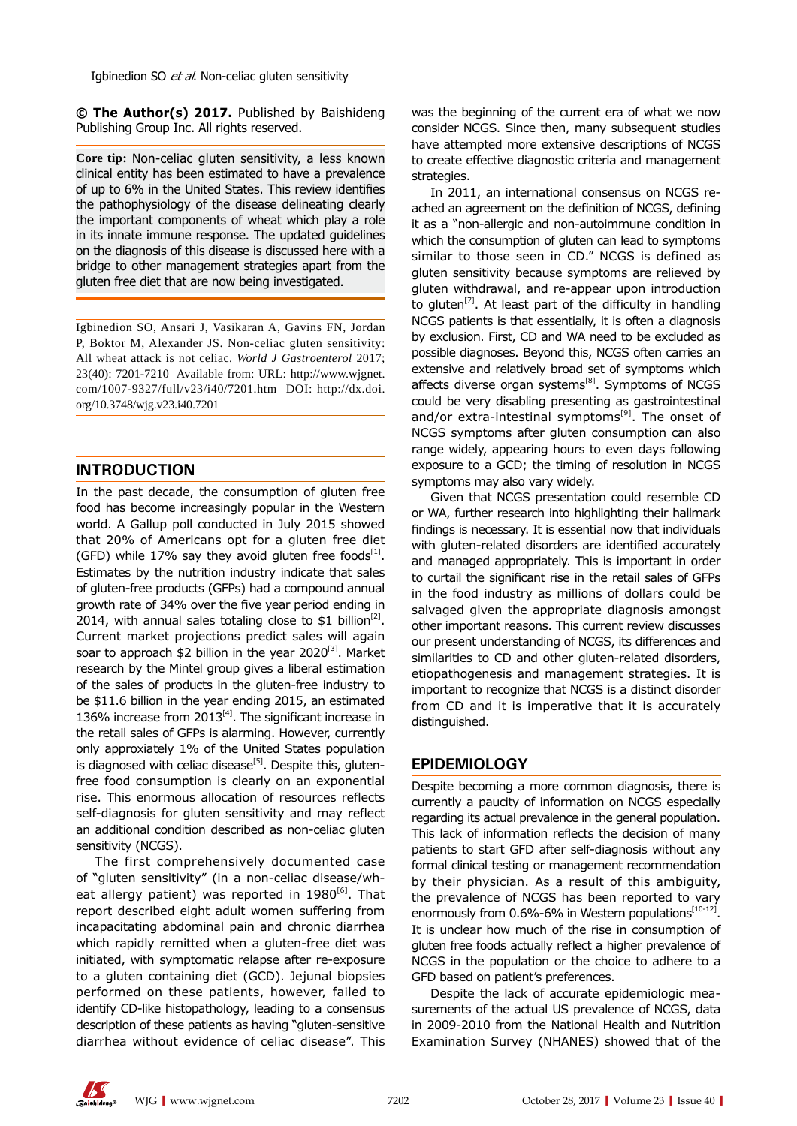Igbinedion SO et al. Non-celiac gluten sensitivity

**© The Author(s) 2017.** Published by Baishideng Publishing Group Inc. All rights reserved.

**Core tip:** Non-celiac gluten sensitivity, a less known clinical entity has been estimated to have a prevalence of up to 6% in the United States. This review identifies the pathophysiology of the disease delineating clearly the important components of wheat which play a role in its innate immune response. The updated guidelines on the diagnosis of this disease is discussed here with a bridge to other management strategies apart from the gluten free diet that are now being investigated.

Igbinedion SO, Ansari J, Vasikaran A, Gavins FN, Jordan P, Boktor M, Alexander JS. Non-celiac gluten sensitivity: All wheat attack is not celiac. *World J Gastroenterol* 2017; 23(40): 7201-7210 Available from: URL: http://www.wjgnet. com/1007-9327/full/v23/i40/7201.htm DOI: http://dx.doi. org/10.3748/wjg.v23.i40.7201

#### **INTRODUCTION**

In the past decade, the consumption of gluten free food has become increasingly popular in the Western world. A Gallup poll conducted in July 2015 showed that 20% of Americans opt for a gluten free diet (GFD) while 17% say they avoid gluten free foods $^{[1]}$ . Estimates by the nutrition industry indicate that sales of gluten-free products (GFPs) had a compound annual growth rate of 34% over the five year period ending in 2014, with annual sales totaling close to \$1 billion<sup>[2]</sup>. Current market projections predict sales will again soar to approach  $$2$  billion in the year 2020<sup>[3]</sup>. Market research by the Mintel group gives a liberal estimation of the sales of products in the gluten-free industry to be \$11.6 billion in the year ending 2015, an estimated 136% increase from  $2013^{[4]}$ . The significant increase in the retail sales of GFPs is alarming. However, currently only approxiately 1% of the United States population is diagnosed with celiac disease<sup>[5]</sup>. Despite this, glutenfree food consumption is clearly on an exponential rise. This enormous allocation of resources reflects self-diagnosis for gluten sensitivity and may reflect an additional condition described as non-celiac gluten sensitivity (NCGS).

The first comprehensively documented case of "gluten sensitivity" (in a non-celiac disease/wheat allergy patient) was reported in  $1980^{6}$ . That report described eight adult women suffering from incapacitating abdominal pain and chronic diarrhea which rapidly remitted when a gluten-free diet was initiated, with symptomatic relapse after re-exposure to a gluten containing diet (GCD). Jejunal biopsies performed on these patients, however, failed to identify CD-like histopathology, leading to a consensus description of these patients as having "gluten-sensitive diarrhea without evidence of celiac disease". This

was the beginning of the current era of what we now consider NCGS. Since then, many subsequent studies have attempted more extensive descriptions of NCGS to create effective diagnostic criteria and management strategies.

In 2011, an international consensus on NCGS reached an agreement on the definition of NCGS, defining it as a "non-allergic and non-autoimmune condition in which the consumption of gluten can lead to symptoms similar to those seen in CD." NCGS is defined as gluten sensitivity because symptoms are relieved by gluten withdrawal, and re-appear upon introduction to gluten<sup>[7]</sup>. At least part of the difficulty in handling NCGS patients is that essentially, it is often a diagnosis by exclusion. First, CD and WA need to be excluded as possible diagnoses. Beyond this, NCGS often carries an extensive and relatively broad set of symptoms which affects diverse organ systems<sup>[8]</sup>. Symptoms of NCGS could be very disabling presenting as gastrointestinal and/or extra-intestinal symptoms<sup>[9]</sup>. The onset of NCGS symptoms after gluten consumption can also range widely, appearing hours to even days following exposure to a GCD; the timing of resolution in NCGS symptoms may also vary widely.

Given that NCGS presentation could resemble CD or WA, further research into highlighting their hallmark findings is necessary. It is essential now that individuals with gluten-related disorders are identified accurately and managed appropriately. This is important in order to curtail the significant rise in the retail sales of GFPs in the food industry as millions of dollars could be salvaged given the appropriate diagnosis amongst other important reasons. This current review discusses our present understanding of NCGS, its differences and similarities to CD and other gluten-related disorders, etiopathogenesis and management strategies. It is important to recognize that NCGS is a distinct disorder from CD and it is imperative that it is accurately distinguished.

#### **EPIDEMIOLOGY**

Despite becoming a more common diagnosis, there is currently a paucity of information on NCGS especially regarding its actual prevalence in the general population. This lack of information reflects the decision of many patients to start GFD after self-diagnosis without any formal clinical testing or management recommendation by their physician. As a result of this ambiguity, the prevalence of NCGS has been reported to vary enormously from  $0.6\%$ -6% in Western populations $[10-12]$ . It is unclear how much of the rise in consumption of gluten free foods actually reflect a higher prevalence of NCGS in the population or the choice to adhere to a GFD based on patient's preferences.

Despite the lack of accurate epidemiologic measurements of the actual US prevalence of NCGS, data in 2009-2010 from the National Health and Nutrition Examination Survey (NHANES) showed that of the

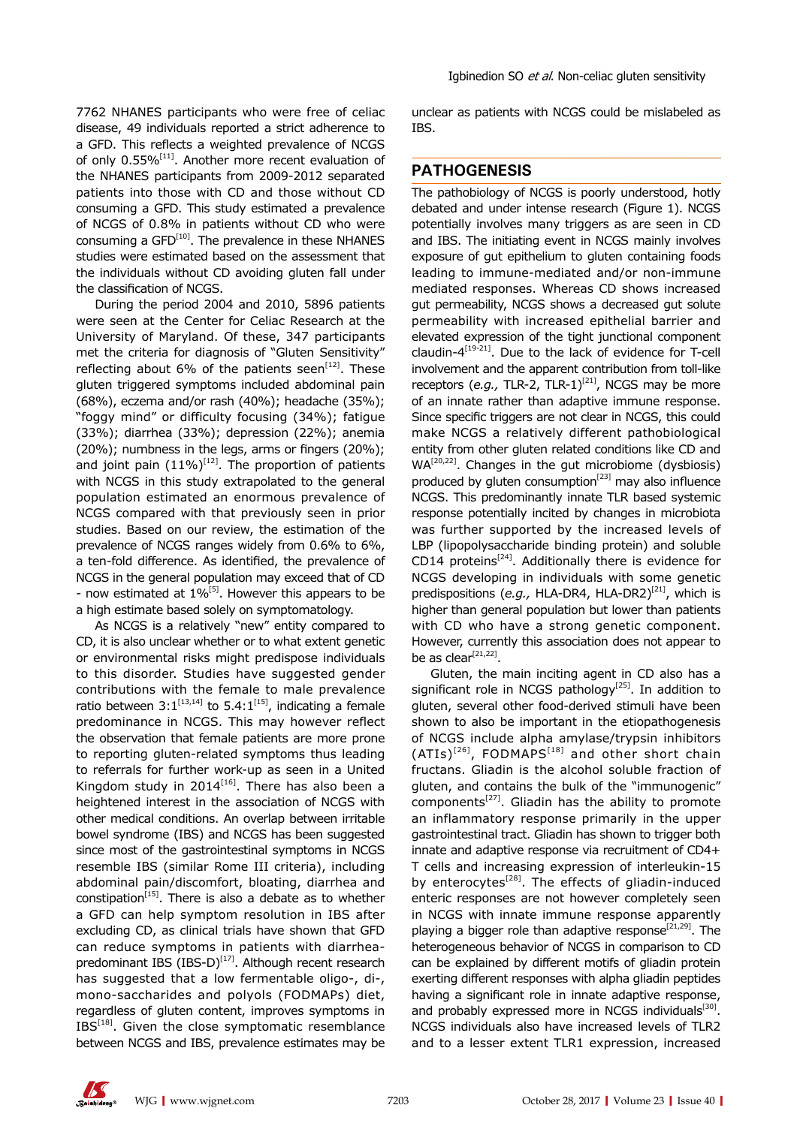7762 NHANES participants who were free of celiac disease, 49 individuals reported a strict adherence to a GFD. This reflects a weighted prevalence of NCGS of only 0.55%<sup>[11]</sup>. Another more recent evaluation of the NHANES participants from 2009-2012 separated patients into those with CD and those without CD consuming a GFD. This study estimated a prevalence of NCGS of 0.8% in patients without CD who were consuming a GFD<sup>[10]</sup>. The prevalence in these NHANES studies were estimated based on the assessment that the individuals without CD avoiding gluten fall under the classification of NCGS.

During the period 2004 and 2010, 5896 patients were seen at the Center for Celiac Research at the University of Maryland. Of these, 347 participants met the criteria for diagnosis of "Gluten Sensitivity" reflecting about 6% of the patients seen<sup>[12]</sup>. These gluten triggered symptoms included abdominal pain (68%), eczema and/or rash (40%); headache (35%); "foggy mind" or difficulty focusing (34%); fatigue (33%); diarrhea (33%); depression (22%); anemia (20%); numbness in the legs, arms or fingers (20%); and joint pain (11%)<sup>[12]</sup>. The proportion of patients with NCGS in this study extrapolated to the general population estimated an enormous prevalence of NCGS compared with that previously seen in prior studies. Based on our review, the estimation of the prevalence of NCGS ranges widely from 0.6% to 6%, a ten-fold difference. As identified, the prevalence of NCGS in the general population may exceed that of CD - now estimated at  $1\%$ <sup>[5]</sup>. However this appears to be a high estimate based solely on symptomatology.

As NCGS is a relatively "new" entity compared to CD, it is also unclear whether or to what extent genetic or environmental risks might predispose individuals to this disorder. Studies have suggested gender contributions with the female to male prevalence ratio between  $3:1^{[13,14]}$  to  $5.4:1^{[15]}$ , indicating a female predominance in NCGS. This may however reflect the observation that female patients are more prone to reporting gluten-related symptoms thus leading to referrals for further work-up as seen in a United Kingdom study in  $2014^{[16]}$ . There has also been a heightened interest in the association of NCGS with other medical conditions. An overlap between irritable bowel syndrome (IBS) and NCGS has been suggested since most of the gastrointestinal symptoms in NCGS resemble IBS (similar Rome III criteria), including abdominal pain/discomfort, bloating, diarrhea and constipation $[15]$ . There is also a debate as to whether a GFD can help symptom resolution in IBS after excluding CD, as clinical trials have shown that GFD can reduce symptoms in patients with diarrheapredominant IBS (IBS-D) $^{[17]}$ . Although recent research has suggested that a low fermentable oligo-, di-, mono-saccharides and polyols (FODMAPs) diet, regardless of gluten content, improves symptoms in IBS<sup>[18]</sup>. Given the close symptomatic resemblance between NCGS and IBS, prevalence estimates may be

unclear as patients with NCGS could be mislabeled as IBS.

#### **PATHOGENESIS**

The pathobiology of NCGS is poorly understood, hotly debated and under intense research (Figure 1). NCGS potentially involves many triggers as are seen in CD and IBS. The initiating event in NCGS mainly involves exposure of gut epithelium to gluten containing foods leading to immune-mediated and/or non-immune mediated responses. Whereas CD shows increased gut permeability, NCGS shows a decreased gut solute permeability with increased epithelial barrier and elevated expression of the tight junctional component  $claudin-4<sup>[19-21]</sup>$ . Due to the lack of evidence for T-cell involvement and the apparent contribution from toll-like receptors (e.g., TLR-2, TLR-1)<sup>[21]</sup>, NCGS may be more of an innate rather than adaptive immune response. Since specific triggers are not clear in NCGS, this could make NCGS a relatively different pathobiological entity from other gluten related conditions like CD and  $WA<sup>[20,22]</sup>$ . Changes in the gut microbiome (dysbiosis) produced by gluten consumption<sup>[23]</sup> may also influence NCGS. This predominantly innate TLR based systemic response potentially incited by changes in microbiota was further supported by the increased levels of LBP (lipopolysaccharide binding protein) and soluble CD14 proteins<sup>[24]</sup>. Additionally there is evidence for NCGS developing in individuals with some genetic predispositions (e.g., HLA-DR4, HLA-DR2)<sup>[21]</sup>, which is higher than general population but lower than patients with CD who have a strong genetic component. However, currently this association does not appear to be as clear $^{[21,22]}$ .

Gluten, the main inciting agent in CD also has a significant role in NCGS pathology<sup>[25]</sup>. In addition to gluten, several other food-derived stimuli have been shown to also be important in the etiopathogenesis of NCGS include alpha amylase/trypsin inhibitors  $(ATIs)^{[26]}$ , FODMAPS<sup>[18]</sup> and other short chain fructans. Gliadin is the alcohol soluble fraction of gluten, and contains the bulk of the "immunogenic" components<sup>[27]</sup>. Gliadin has the ability to promote an inflammatory response primarily in the upper gastrointestinal tract. Gliadin has shown to trigger both innate and adaptive response via recruitment of CD4+ T cells and increasing expression of interleukin-15 by enterocytes<sup>[28]</sup>. The effects of gliadin-induced enteric responses are not however completely seen in NCGS with innate immune response apparently playing a bigger role than adaptive response<sup>[21,29]</sup>. The heterogeneous behavior of NCGS in comparison to CD can be explained by different motifs of gliadin protein exerting different responses with alpha gliadin peptides having a significant role in innate adaptive response, and probably expressed more in NCGS individuals<sup>[30]</sup>. NCGS individuals also have increased levels of TLR2 and to a lesser extent TLR1 expression, increased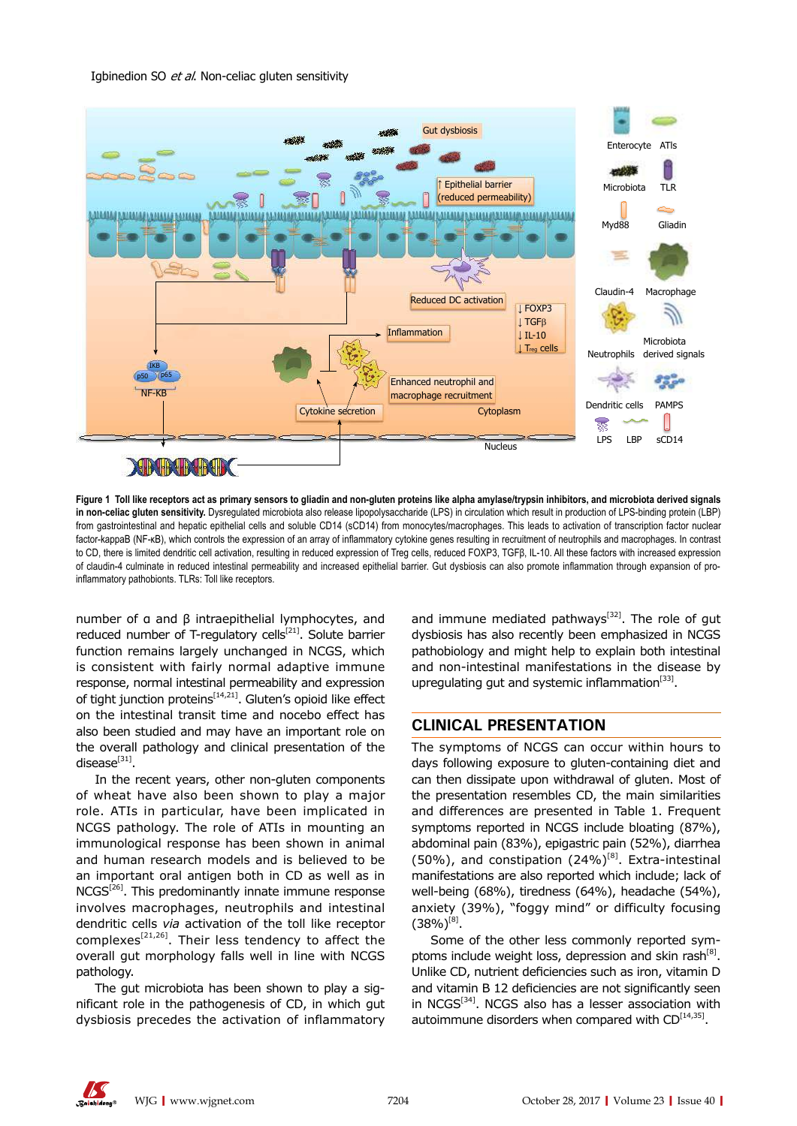

**Figure 1 Toll like receptors act as primary sensors to gliadin and non-gluten proteins like alpha amylase/trypsin inhibitors, and microbiota derived signals in non-celiac gluten sensitivity.** Dysregulated microbiota also release lipopolysaccharide (LPS) in circulation which result in production of LPS-binding protein (LBP) from gastrointestinal and hepatic epithelial cells and soluble CD14 (sCD14) from monocytes/macrophages. This leads to activation of transcription factor nuclear factor-kappaB (NF-κB), which controls the expression of an array of inflammatory cytokine genes resulting in recruitment of neutrophils and macrophages. In contrast to CD, there is limited dendritic cell activation, resulting in reduced expression of Treg cells, reduced FOXP3, TGFβ, IL-10. All these factors with increased expression of claudin-4 culminate in reduced intestinal permeability and increased epithelial barrier. Gut dysbiosis can also promote inflammation through expansion of proinflammatory pathobionts. TLRs: Toll like receptors.

number of α and β intraepithelial lymphocytes, and reduced number of T-regulatory cells<sup>[21]</sup>. Solute barrier function remains largely unchanged in NCGS, which is consistent with fairly normal adaptive immune response, normal intestinal permeability and expression of tight junction proteins<sup>[14,21]</sup>. Gluten's opioid like effect on the intestinal transit time and nocebo effect has also been studied and may have an important role on the overall pathology and clinical presentation of the  $disease^{[31]}$ .

In the recent years, other non-gluten components of wheat have also been shown to play a major role. ATIs in particular, have been implicated in NCGS pathology. The role of ATIs in mounting an immunological response has been shown in animal and human research models and is believed to be an important oral antigen both in CD as well as in  $NCGS<sup>[26]</sup>$ . This predominantly innate immune response involves macrophages, neutrophils and intestinal dendritic cells *via* activation of the toll like receptor complexes<sup>[21,26]</sup>. Their less tendency to affect the overall gut morphology falls well in line with NCGS pathology.

The gut microbiota has been shown to play a significant role in the pathogenesis of CD, in which gut dysbiosis precedes the activation of inflammatory and immune mediated pathways<sup>[32]</sup>. The role of gut dysbiosis has also recently been emphasized in NCGS pathobiology and might help to explain both intestinal and non-intestinal manifestations in the disease by upregulating gut and systemic inflammation $[33]$ .

### **CLINICAL PRESENTATION**

The symptoms of NCGS can occur within hours to days following exposure to gluten-containing diet and can then dissipate upon withdrawal of gluten. Most of the presentation resembles CD, the main similarities and differences are presented in Table 1. Frequent symptoms reported in NCGS include bloating (87%), abdominal pain (83%), epigastric pain (52%), diarrhea (50%), and constipation (24%)<sup>[8]</sup>. Extra-intestinal manifestations are also reported which include; lack of well-being (68%), tiredness (64%), headache (54%), anxiety (39%), "foggy mind" or difficulty focusing  $(38\%)^{[8]}$ .

Some of the other less commonly reported symptoms include weight loss, depression and skin rash<sup>[8]</sup>. Unlike CD, nutrient deficiencies such as iron, vitamin D and vitamin B 12 deficiencies are not significantly seen in NCGS<sup>[34]</sup>. NCGS also has a lesser association with autoimmune disorders when compared with  $CD^{[14,35]}$ .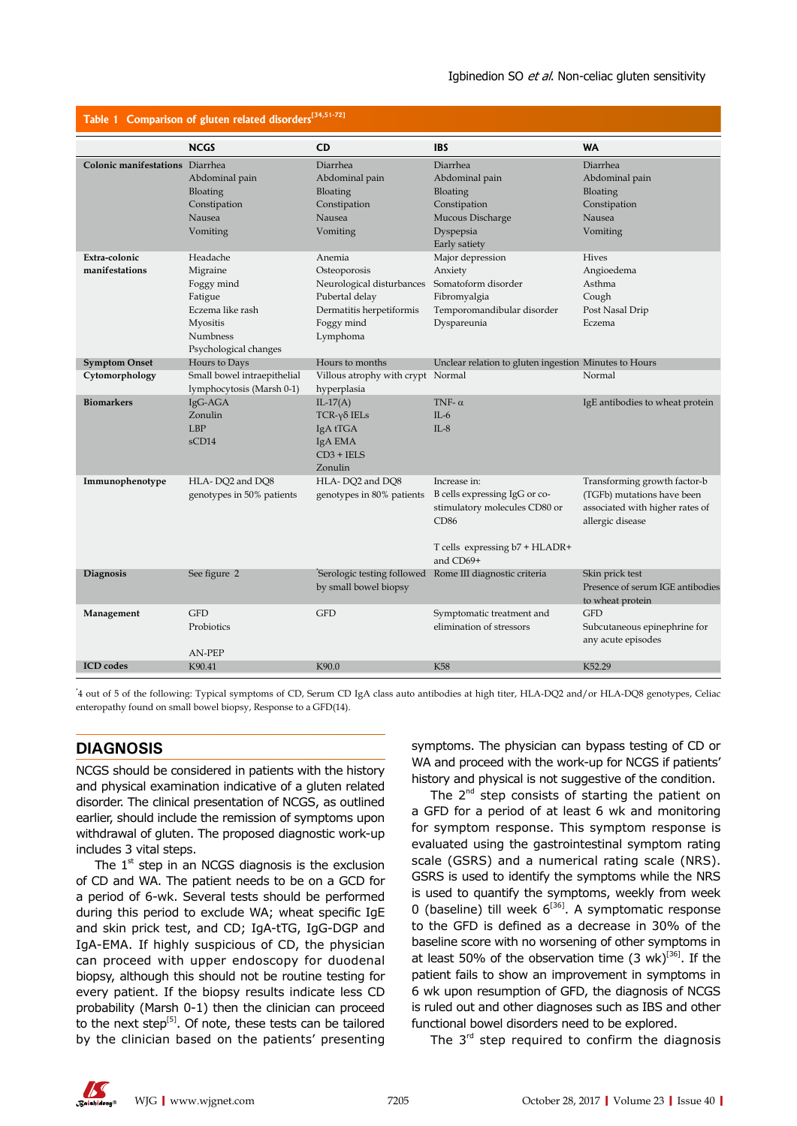| Table 1 Comparison of gluten related disorders $34,51-721$ |                                                                                                                    |                                                                                                                             |                                                                                                                                       |                                                                                                                   |  |
|------------------------------------------------------------|--------------------------------------------------------------------------------------------------------------------|-----------------------------------------------------------------------------------------------------------------------------|---------------------------------------------------------------------------------------------------------------------------------------|-------------------------------------------------------------------------------------------------------------------|--|
|                                                            | <b>NCGS</b>                                                                                                        | <b>CD</b>                                                                                                                   | <b>IBS</b>                                                                                                                            | <b>WA</b>                                                                                                         |  |
| Colonic manifestations Diarrhea                            | Abdominal pain<br>Bloating<br>Constipation<br>Nausea<br>Vomiting                                                   | Diarrhea<br>Abdominal pain<br>Bloating<br>Constipation<br>Nausea<br>Vomiting                                                | Diarrhea<br>Abdominal pain<br>Bloating<br>Constipation<br>Mucous Discharge<br>Dyspepsia<br>Early satiety                              | Diarrhea<br>Abdominal pain<br>Bloating<br>Constipation<br>Nausea<br>Vomiting                                      |  |
| Extra-colonic<br>manifestations                            | Headache<br>Migraine<br>Foggy mind<br>Fatigue<br>Eczema like rash<br>Myositis<br>Numbness<br>Psychological changes | Anemia<br>Osteoporosis<br>Neurological disturbances<br>Pubertal delay<br>Dermatitis herpetiformis<br>Foggy mind<br>Lymphoma | Major depression<br>Anxiety<br>Somatoform disorder<br>Fibromyalgia<br>Temporomandibular disorder<br>Dyspareunia                       | <b>Hives</b><br>Angioedema<br>Asthma<br>Cough<br>Post Nasal Drip<br>Eczema                                        |  |
| <b>Symptom Onset</b>                                       | Hours to Days                                                                                                      | Hours to months                                                                                                             | Unclear relation to gluten ingestion Minutes to Hours                                                                                 |                                                                                                                   |  |
| Cytomorphology                                             | Small bowel intraepithelial<br>lymphocytosis (Marsh 0-1)                                                           | Villous atrophy with crypt Normal<br>hyperplasia                                                                            |                                                                                                                                       | Normal                                                                                                            |  |
| <b>Biomarkers</b>                                          | IgG-AGA<br>Zonulin<br><b>LBP</b><br>sCD14                                                                          | $IL-17(A)$<br>$TCR-\gamma\delta$ IELs<br>IgA tTGA<br>IgA EMA<br>$CD3 + IELS$<br>Zonulin                                     | TNF- $\alpha$<br>$IL-6$<br>$IL-8$                                                                                                     | IgE antibodies to wheat protein                                                                                   |  |
| Immunophenotype                                            | HLA-DQ2 and DQ8<br>genotypes in 50% patients                                                                       | HLA-DQ2 and DQ8<br>genotypes in 80% patients                                                                                | Increase in:<br>B cells expressing IgG or co-<br>stimulatory molecules CD80 or<br>CD86<br>T cells expressing b7 + HLADR+<br>and CD69+ | Transforming growth factor-b<br>(TGFb) mutations have been<br>associated with higher rates of<br>allergic disease |  |
| Diagnosis                                                  | See figure 2                                                                                                       | by small bowel biopsy                                                                                                       | Serologic testing followed Rome III diagnostic criteria                                                                               | Skin prick test<br>Presence of serum IGE antibodies<br>to wheat protein                                           |  |
| Management                                                 | <b>GFD</b><br>Probiotics<br>AN-PEP                                                                                 | <b>GFD</b>                                                                                                                  | Symptomatic treatment and<br>elimination of stressors                                                                                 | <b>GFD</b><br>Subcutaneous epinephrine for<br>any acute episodes                                                  |  |
| <b>ICD</b> codes                                           | K90.41                                                                                                             | K90.0                                                                                                                       | K58                                                                                                                                   | K52.29                                                                                                            |  |

\* 4 out of 5 of the following: Typical symptoms of CD, Serum CD IgA class auto antibodies at high titer, HLA-DQ2 and/or HLA-DQ8 genotypes, Celiac enteropathy found on small bowel biopsy, Response to a GFD(14).

#### **DIAGNOSIS**

NCGS should be considered in patients with the history and physical examination indicative of a gluten related disorder. The clinical presentation of NCGS, as outlined earlier, should include the remission of symptoms upon withdrawal of gluten. The proposed diagnostic work-up includes 3 vital steps.

The  $1<sup>st</sup>$  step in an NCGS diagnosis is the exclusion of CD and WA. The patient needs to be on a GCD for a period of 6-wk. Several tests should be performed during this period to exclude WA; wheat specific IgE and skin prick test, and CD; IgA-tTG, IgG-DGP and IgA-EMA. If highly suspicious of CD, the physician can proceed with upper endoscopy for duodenal biopsy, although this should not be routine testing for every patient. If the biopsy results indicate less CD probability (Marsh 0-1) then the clinician can proceed to the next step $^{[5]}$ . Of note, these tests can be tailored by the clinician based on the patients' presenting symptoms. The physician can bypass testing of CD or WA and proceed with the work-up for NCGS if patients' history and physical is not suggestive of the condition.

The  $2^{nd}$  step consists of starting the patient on a GFD for a period of at least 6 wk and monitoring for symptom response. This symptom response is evaluated using the gastrointestinal symptom rating scale (GSRS) and a numerical rating scale (NRS). GSRS is used to identify the symptoms while the NRS is used to quantify the symptoms, weekly from week 0 (baseline) till week  $6^{36}$ . A symptomatic response to the GFD is defined as a decrease in 30% of the baseline score with no worsening of other symptoms in at least 50% of the observation time  $(3 \text{ wk})^{[36]}$ . If the patient fails to show an improvement in symptoms in 6 wk upon resumption of GFD, the diagnosis of NCGS is ruled out and other diagnoses such as IBS and other functional bowel disorders need to be explored.

The  $3^{rd}$  step required to confirm the diagnosis

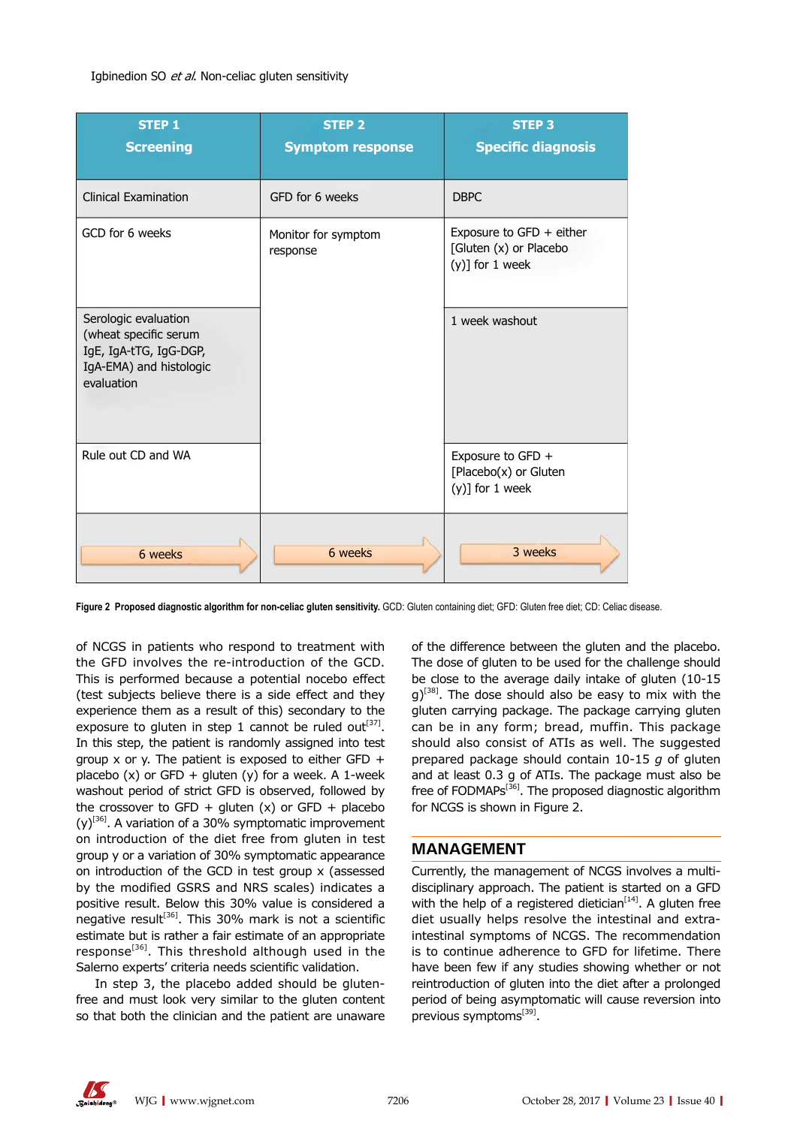#### Igbinedion SO et al. Non-celiac gluten sensitivity

| <b>STEP 1</b><br><b>Screening</b>                                                                                | <b>STEP 2</b><br><b>Symptom response</b> | <b>STEP 3</b><br><b>Specific diagnosis</b>                               |
|------------------------------------------------------------------------------------------------------------------|------------------------------------------|--------------------------------------------------------------------------|
| <b>Clinical Examination</b>                                                                                      | GFD for 6 weeks                          | <b>DBPC</b>                                                              |
| GCD for 6 weeks                                                                                                  | Monitor for symptom<br>response          | Exposure to GFD + either<br>[Gluten (x) or Placebo<br>$(y)$ ] for 1 week |
| Serologic evaluation<br>(wheat specific serum<br>IgE, IgA-tTG, IgG-DGP,<br>IgA-EMA) and histologic<br>evaluation |                                          | 1 week washout                                                           |
| Rule out CD and WA                                                                                               |                                          | Exposure to GFD +<br>[Placebo(x) or Gluten<br>$(y)$ ] for 1 week         |
| 6 weeks                                                                                                          | 6 weeks                                  | 3 weeks                                                                  |

**Figure 2 Proposed diagnostic algorithm for non-celiac gluten sensitivity.** GCD: Gluten containing diet; GFD: Gluten free diet; CD: Celiac disease.

of NCGS in patients who respond to treatment with the GFD involves the re-introduction of the GCD. This is performed because a potential nocebo effect (test subjects believe there is a side effect and they experience them as a result of this) secondary to the exposure to gluten in step 1 cannot be ruled out<sup>[37]</sup>. In this step, the patient is randomly assigned into test group x or y. The patient is exposed to either GFD  $+$ placebo  $(x)$  or GFD + gluten  $(y)$  for a week. A 1-week washout period of strict GFD is observed, followed by the crossover to GFD + gluten  $(x)$  or GFD + placebo  $(y)^{[36]}$ . A variation of a 30% symptomatic improvement on introduction of the diet free from gluten in test group y or a variation of 30% symptomatic appearance on introduction of the GCD in test group x (assessed by the modified GSRS and NRS scales) indicates a positive result. Below this 30% value is considered a negative result<sup>[36]</sup>. This 30% mark is not a scientific estimate but is rather a fair estimate of an appropriate response<sup>[36]</sup>. This threshold although used in the Salerno experts' criteria needs scientific validation.

In step 3, the placebo added should be glutenfree and must look very similar to the gluten content so that both the clinician and the patient are unaware

of the difference between the gluten and the placebo. The dose of gluten to be used for the challenge should be close to the average daily intake of gluten (10-15  $q^{38}$ . The dose should also be easy to mix with the gluten carrying package. The package carrying gluten can be in any form; bread, muffin. This package should also consist of ATIs as well. The suggested prepared package should contain 10-15 *g* of gluten and at least 0.3 g of ATIs. The package must also be free of FODMAPs[36]. The proposed diagnostic algorithm for NCGS is shown in Figure 2.

#### **MANAGEMENT**

Currently, the management of NCGS involves a multidisciplinary approach. The patient is started on a GFD with the help of a registered dietician<sup>[14]</sup>. A gluten free diet usually helps resolve the intestinal and extraintestinal symptoms of NCGS. The recommendation is to continue adherence to GFD for lifetime. There have been few if any studies showing whether or not reintroduction of gluten into the diet after a prolonged period of being asymptomatic will cause reversion into previous symptoms<sup>[39]</sup>.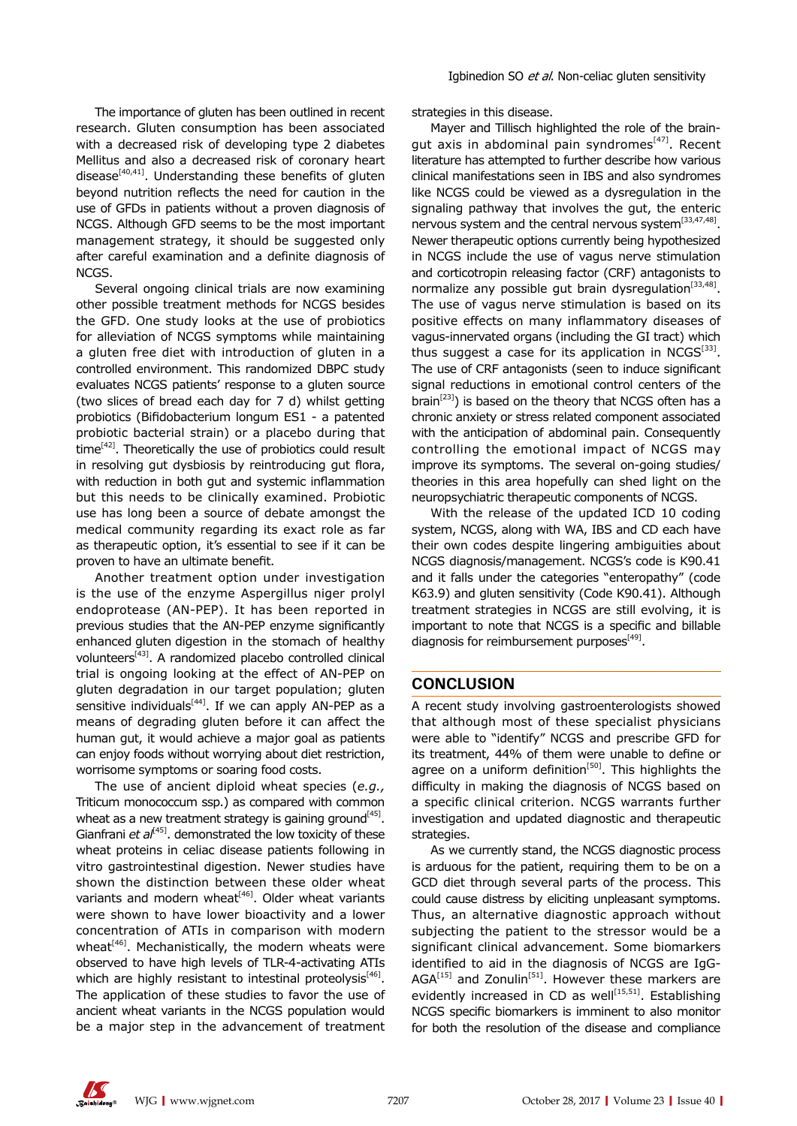The importance of gluten has been outlined in recent research. Gluten consumption has been associated with a decreased risk of developing type 2 diabetes Mellitus and also a decreased risk of coronary heart disease<sup>[40,41]</sup>. Understanding these benefits of gluten beyond nutrition reflects the need for caution in the use of GFDs in patients without a proven diagnosis of NCGS. Although GFD seems to be the most important management strategy, it should be suggested only after careful examination and a definite diagnosis of NCGS.

Several ongoing clinical trials are now examining other possible treatment methods for NCGS besides the GFD. One study looks at the use of probiotics for alleviation of NCGS symptoms while maintaining a gluten free diet with introduction of gluten in a controlled environment. This randomized DBPC study evaluates NCGS patients' response to a gluten source (two slices of bread each day for 7 d) whilst getting probiotics (Bifidobacterium longum ES1 - a patented probiotic bacterial strain) or a placebo during that  $time^{[42]}$ . Theoretically the use of probiotics could result in resolving gut dysbiosis by reintroducing gut flora, with reduction in both gut and systemic inflammation but this needs to be clinically examined. Probiotic use has long been a source of debate amongst the medical community regarding its exact role as far as therapeutic option, it's essential to see if it can be proven to have an ultimate benefit.

Another treatment option under investigation is the use of the enzyme Aspergillus niger prolyl endoprotease (AN-PEP). It has been reported in previous studies that the AN-PEP enzyme significantly enhanced gluten digestion in the stomach of healthy volunteers[43]. A randomized placebo controlled clinical trial is ongoing looking at the effect of AN-PEP on gluten degradation in our target population; gluten sensitive individuals $[44]$ . If we can apply AN-PEP as a means of degrading gluten before it can affect the human gut, it would achieve a major goal as patients can enjoy foods without worrying about diet restriction, worrisome symptoms or soaring food costs.

The use of ancient diploid wheat species (*e.g.,* Triticum monococcum ssp.) as compared with common wheat as a new treatment strategy is gaining ground<sup>[45]</sup>. Gianfrani *et al*<sup>[45]</sup>. demonstrated the low toxicity of these wheat proteins in celiac disease patients following in vitro gastrointestinal digestion. Newer studies have shown the distinction between these older wheat variants and modern wheat<sup>[46]</sup>. Older wheat variants were shown to have lower bioactivity and a lower concentration of ATIs in comparison with modern wheat $[46]$ . Mechanistically, the modern wheats were observed to have high levels of TLR-4-activating ATIs which are highly resistant to intestinal proteolysis<sup>[46]</sup>. The application of these studies to favor the use of ancient wheat variants in the NCGS population would be a major step in the advancement of treatment strategies in this disease.

Mayer and Tillisch highlighted the role of the braingut axis in abdominal pain syndromes<sup>[47]</sup>. Recent literature has attempted to further describe how various clinical manifestations seen in IBS and also syndromes like NCGS could be viewed as a dysregulation in the signaling pathway that involves the gut, the enteric nervous system and the central nervous system<sup>[33,47,48]</sup>. Newer therapeutic options currently being hypothesized in NCGS include the use of vagus nerve stimulation and corticotropin releasing factor (CRF) antagonists to normalize any possible gut brain dysregulation<sup>[33,48]</sup>. The use of vagus nerve stimulation is based on its positive effects on many inflammatory diseases of vagus-innervated organs (including the GI tract) which thus suggest a case for its application in  $NCGS^{[33]}$ . The use of CRF antagonists (seen to induce significant signal reductions in emotional control centers of the brain<sup>[23]</sup>) is based on the theory that NCGS often has a chronic anxiety or stress related component associated with the anticipation of abdominal pain. Consequently controlling the emotional impact of NCGS may improve its symptoms. The several on-going studies/ theories in this area hopefully can shed light on the neuropsychiatric therapeutic components of NCGS.

With the release of the updated ICD 10 coding system, NCGS, along with WA, IBS and CD each have their own codes despite lingering ambiguities about NCGS diagnosis/management. NCGS's code is K90.41 and it falls under the categories "enteropathy" (code K63.9) and gluten sensitivity (Code K90.41). Although treatment strategies in NCGS are still evolving, it is important to note that NCGS is a specific and billable diagnosis for reimbursement purposes $<sup>[49]</sup>$ .</sup>

#### **CONCLUSION**

A recent study involving gastroenterologists showed that although most of these specialist physicians were able to "identify" NCGS and prescribe GFD for its treatment, 44% of them were unable to define or agree on a uniform definition<sup>[50]</sup>. This highlights the difficulty in making the diagnosis of NCGS based on a specific clinical criterion. NCGS warrants further investigation and updated diagnostic and therapeutic strategies.

As we currently stand, the NCGS diagnostic process is arduous for the patient, requiring them to be on a GCD diet through several parts of the process. This could cause distress by eliciting unpleasant symptoms. Thus, an alternative diagnostic approach without subjecting the patient to the stressor would be a significant clinical advancement. Some biomarkers identified to aid in the diagnosis of NCGS are IgG- $AGA^{[15]}$  and Zonulin<sup>[51]</sup>. However these markers are evidently increased in CD as well<sup>[15,51]</sup>. Establishing NCGS specific biomarkers is imminent to also monitor for both the resolution of the disease and compliance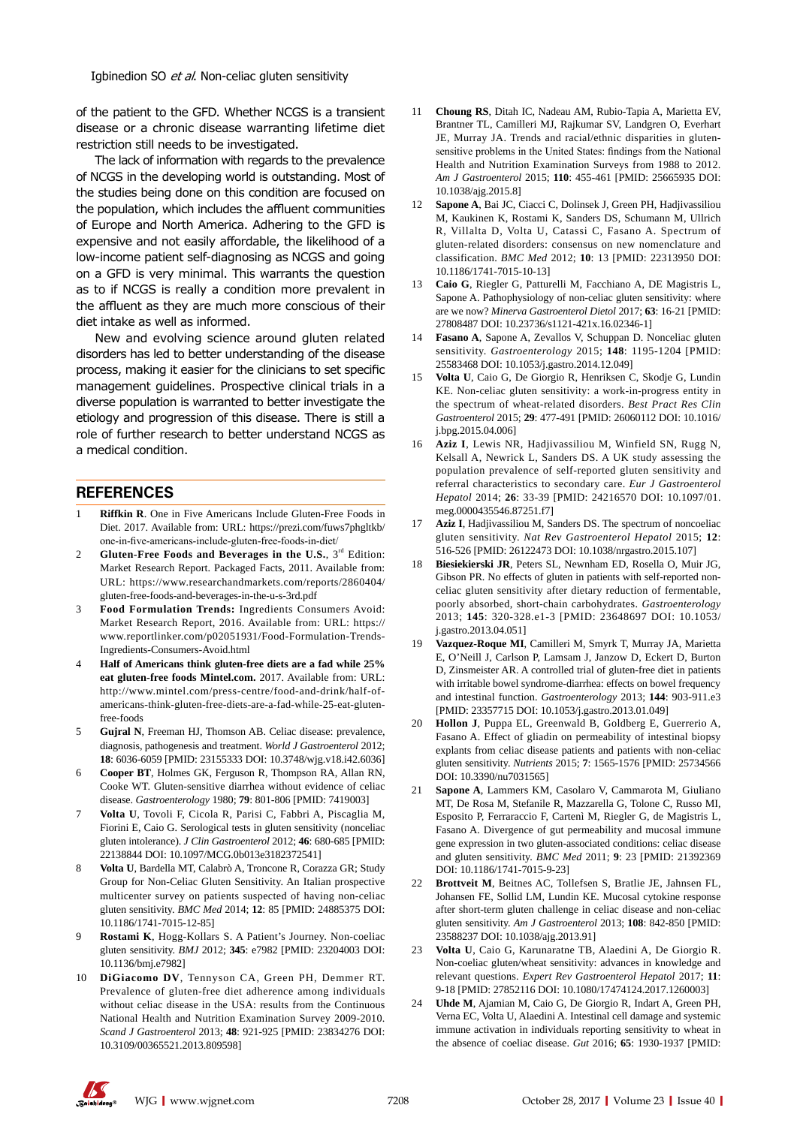of the patient to the GFD. Whether NCGS is a transient disease or a chronic disease warranting lifetime diet restriction still needs to be investigated.

The lack of information with regards to the prevalence of NCGS in the developing world is outstanding. Most of the studies being done on this condition are focused on the population, which includes the affluent communities of Europe and North America. Adhering to the GFD is expensive and not easily affordable, the likelihood of a low-income patient self-diagnosing as NCGS and going on a GFD is very minimal. This warrants the question as to if NCGS is really a condition more prevalent in the affluent as they are much more conscious of their diet intake as well as informed.

New and evolving science around gluten related disorders has led to better understanding of the disease process, making it easier for the clinicians to set specific management guidelines. Prospective clinical trials in a diverse population is warranted to better investigate the etiology and progression of this disease. There is still a role of further research to better understand NCGS as a medical condition.

#### **REFERENCES**

- 1 **Riffkin R**. One in Five Americans Include Gluten-Free Foods in Diet. 2017. Available from: URL: https://prezi.com/fuws7phgltkb/ one-in-five-americans-include-gluten-free-foods-in-diet/
- Gluten-Free Foods and Beverages in the U.S., 3<sup>rd</sup> Edition: Market Research Report. Packaged Facts, 2011. Available from: URL: https://www.researchandmarkets.com/reports/2860404/ gluten-free-foods-and-beverages-in-the-u-s-3rd.pdf
- 3 **Food Formulation Trends:** Ingredients Consumers Avoid: Market Research Report, 2016. Available from: URL: https:// www.reportlinker.com/p02051931/Food-Formulation-Trends-Ingredients-Consumers-Avoid.html
- 4 **Half of Americans think gluten-free diets are a fad while 25% eat gluten-free foods Mintel.com.** 2017. Available from: URL: http://www.mintel.com/press-centre/food-and-drink/half-ofamericans-think-gluten-free-diets-are-a-fad-while-25-eat-glutenfree-foods
- 5 **Gujral N**, Freeman HJ, Thomson AB. Celiac disease: prevalence, diagnosis, pathogenesis and treatment. *World J Gastroenterol* 2012; **18**: 6036-6059 [PMID: 23155333 DOI: 10.3748/wjg.v18.i42.6036]
- 6 **Cooper BT**, Holmes GK, Ferguson R, Thompson RA, Allan RN, Cooke WT. Gluten-sensitive diarrhea without evidence of celiac disease. *Gastroenterology* 1980; **79**: 801-806 [PMID: 7419003]
- 7 **Volta U**, Tovoli F, Cicola R, Parisi C, Fabbri A, Piscaglia M, Fiorini E, Caio G. Serological tests in gluten sensitivity (nonceliac gluten intolerance). *J Clin Gastroenterol* 2012; **46**: 680-685 [PMID: 22138844 DOI: 10.1097/MCG.0b013e3182372541]
- 8 **Volta U**, Bardella MT, Calabrò A, Troncone R, Corazza GR; Study Group for Non-Celiac Gluten Sensitivity. An Italian prospective multicenter survey on patients suspected of having non-celiac gluten sensitivity. *BMC Med* 2014; **12**: 85 [PMID: 24885375 DOI: 10.1186/1741-7015-12-85]
- 9 **Rostami K**, Hogg-Kollars S. A Patient's Journey. Non-coeliac gluten sensitivity. *BMJ* 2012; **345**: e7982 [PMID: 23204003 DOI: 10.1136/bmj.e7982]
- 10 **DiGiacomo DV**, Tennyson CA, Green PH, Demmer RT. Prevalence of gluten-free diet adherence among individuals without celiac disease in the USA: results from the Continuous National Health and Nutrition Examination Survey 2009-2010. *Scand J Gastroenterol* 2013; **48**: 921-925 [PMID: 23834276 DOI: 10.3109/00365521.2013.809598]
- 11 **Choung RS**, Ditah IC, Nadeau AM, Rubio-Tapia A, Marietta EV, Brantner TL, Camilleri MJ, Rajkumar SV, Landgren O, Everhart JE, Murray JA. Trends and racial/ethnic disparities in glutensensitive problems in the United States: findings from the National Health and Nutrition Examination Surveys from 1988 to 2012. *Am J Gastroenterol* 2015; **110**: 455-461 [PMID: 25665935 DOI: 10.1038/ajg.2015.8]
- 12 **Sapone A**, Bai JC, Ciacci C, Dolinsek J, Green PH, Hadjivassiliou M, Kaukinen K, Rostami K, Sanders DS, Schumann M, Ullrich R, Villalta D, Volta U, Catassi C, Fasano A. Spectrum of gluten-related disorders: consensus on new nomenclature and classification. *BMC Med* 2012; **10**: 13 [PMID: 22313950 DOI: 10.1186/1741-7015-10-13]
- 13 **Caio G**, Riegler G, Patturelli M, Facchiano A, DE Magistris L, Sapone A. Pathophysiology of non-celiac gluten sensitivity: where are we now? *Minerva Gastroenterol Dietol* 2017; **63**: 16-21 [PMID: 27808487 DOI: 10.23736/s1121-421x.16.02346-1]
- 14 **Fasano A**, Sapone A, Zevallos V, Schuppan D. Nonceliac gluten sensitivity. *Gastroenterology* 2015; **148**: 1195-1204 [PMID: 25583468 DOI: 10.1053/j.gastro.2014.12.049]
- 15 **Volta U**, Caio G, De Giorgio R, Henriksen C, Skodje G, Lundin KE. Non-celiac gluten sensitivity: a work-in-progress entity in the spectrum of wheat-related disorders. *Best Pract Res Clin Gastroenterol* 2015; **29**: 477-491 [PMID: 26060112 DOI: 10.1016/ j.bpg.2015.04.006]
- 16 **Aziz I**, Lewis NR, Hadjivassiliou M, Winfield SN, Rugg N, Kelsall A, Newrick L, Sanders DS. A UK study assessing the population prevalence of self-reported gluten sensitivity and referral characteristics to secondary care. *Eur J Gastroenterol Hepatol* 2014; **26**: 33-39 [PMID: 24216570 DOI: 10.1097/01. meg.0000435546.87251.f7]
- 17 **Aziz I**, Hadjivassiliou M, Sanders DS. The spectrum of noncoeliac gluten sensitivity. *Nat Rev Gastroenterol Hepatol* 2015; **12**: 516-526 [PMID: 26122473 DOI: 10.1038/nrgastro.2015.107]
- 18 **Biesiekierski JR**, Peters SL, Newnham ED, Rosella O, Muir JG, Gibson PR. No effects of gluten in patients with self-reported nonceliac gluten sensitivity after dietary reduction of fermentable, poorly absorbed, short-chain carbohydrates. *Gastroenterology* 2013; **145**: 320-328.e1-3 [PMID: 23648697 DOI: 10.1053/ j.gastro.2013.04.051]
- 19 **Vazquez-Roque MI**, Camilleri M, Smyrk T, Murray JA, Marietta E, O'Neill J, Carlson P, Lamsam J, Janzow D, Eckert D, Burton D, Zinsmeister AR. A controlled trial of gluten-free diet in patients with irritable bowel syndrome-diarrhea: effects on bowel frequency and intestinal function. *Gastroenterology* 2013; **144**: 903-911.e3 [PMID: 23357715 DOI: 10.1053/j.gastro.2013.01.049]
- Hollon J, Puppa EL, Greenwald B, Goldberg E, Guerrerio A, Fasano A. Effect of gliadin on permeability of intestinal biopsy explants from celiac disease patients and patients with non-celiac gluten sensitivity. *Nutrients* 2015; **7**: 1565-1576 [PMID: 25734566 DOI: 10.3390/nu7031565]
- 21 **Sapone A**, Lammers KM, Casolaro V, Cammarota M, Giuliano MT, De Rosa M, Stefanile R, Mazzarella G, Tolone C, Russo MI, Esposito P, Ferraraccio F, Cartenì M, Riegler G, de Magistris L, Fasano A. Divergence of gut permeability and mucosal immune gene expression in two gluten-associated conditions: celiac disease and gluten sensitivity. *BMC Med* 2011; **9**: 23 [PMID: 21392369 DOI: 10.1186/1741-7015-9-23]
- 22 **Brottveit M**, Beitnes AC, Tollefsen S, Bratlie JE, Jahnsen FL, Johansen FE, Sollid LM, Lundin KE. Mucosal cytokine response after short-term gluten challenge in celiac disease and non-celiac gluten sensitivity. *Am J Gastroenterol* 2013; **108**: 842-850 [PMID: 23588237 DOI: 10.1038/ajg.2013.91]
- 23 **Volta U**, Caio G, Karunaratne TB, Alaedini A, De Giorgio R. Non-coeliac gluten/wheat sensitivity: advances in knowledge and relevant questions. *Expert Rev Gastroenterol Hepatol* 2017; **11**: 9-18 [PMID: 27852116 DOI: 10.1080/17474124.2017.1260003]
- 24 **Uhde M**, Ajamian M, Caio G, De Giorgio R, Indart A, Green PH, Verna EC, Volta U, Alaedini A. Intestinal cell damage and systemic immune activation in individuals reporting sensitivity to wheat in the absence of coeliac disease. *Gut* 2016; **65**: 1930-1937 [PMID:

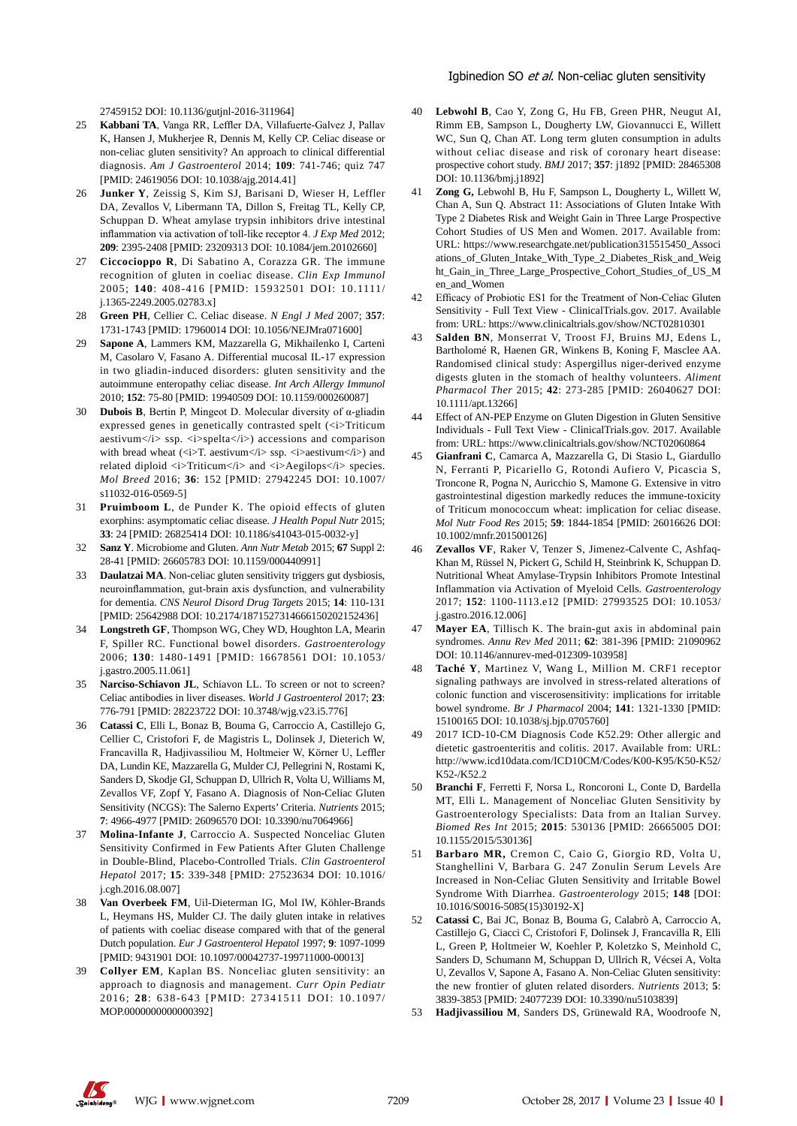#### Igbinedion SO et al. Non-celiac gluten sensitivity

27459152 DOI: 10.1136/gutjnl-2016-311964]

- 25 **Kabbani TA**, Vanga RR, Leffler DA, Villafuerte-Galvez J, Pallav K, Hansen J, Mukherjee R, Dennis M, Kelly CP. Celiac disease or non-celiac gluten sensitivity? An approach to clinical differential diagnosis. *Am J Gastroenterol* 2014; **109**: 741-746; quiz 747 [PMID: 24619056 DOI: 10.1038/ajg.2014.41]
- 26 **Junker Y**, Zeissig S, Kim SJ, Barisani D, Wieser H, Leffler DA, Zevallos V, Libermann TA, Dillon S, Freitag TL, Kelly CP, Schuppan D. Wheat amylase trypsin inhibitors drive intestinal inflammation via activation of toll-like receptor 4. *J Exp Med* 2012; **209**: 2395-2408 [PMID: 23209313 DOI: 10.1084/jem.20102660]
- 27 **Ciccocioppo R**, Di Sabatino A, Corazza GR. The immune recognition of gluten in coeliac disease. *Clin Exp Immunol* 2005; **140**: 408-416 [PMID: 15932501 DOI: 10.1111/ j.1365-2249.2005.02783.x]
- 28 **Green PH**, Cellier C. Celiac disease. *N Engl J Med* 2007; **357**: 1731-1743 [PMID: 17960014 DOI: 10.1056/NEJMra071600]
- 29 **Sapone A**, Lammers KM, Mazzarella G, Mikhailenko I, Cartenì M, Casolaro V, Fasano A. Differential mucosal IL-17 expression in two gliadin-induced disorders: gluten sensitivity and the autoimmune enteropathy celiac disease. *Int Arch Allergy Immunol* 2010; **152**: 75-80 [PMID: 19940509 DOI: 10.1159/000260087]
- 30 **Dubois B**, Bertin P, Mingeot D. Molecular diversity of α-gliadin expressed genes in genetically contrasted spelt  $\langle$ *z*) Triticum aestivum </i>ssp. <i>spelta</i>>>>>>> accessions and comparison with bread wheat ( $\langle i \rangle$ T. aestivum $\langle i \rangle$ ssp.  $\langle i \rangle$ aestivum $\langle i \rangle$ ) and related diploid  $\langle i \rangle$ Triticum $\langle i \rangle$  and  $\langle i \rangle$ Aegilops $\langle i \rangle$  species. *Mol Breed* 2016; **36**: 152 [PMID: 27942245 DOI: 10.1007/ s11032-016-0569-5]
- 31 **Pruimboom L**, de Punder K. The opioid effects of gluten exorphins: asymptomatic celiac disease. *J Health Popul Nutr* 2015; **33**: 24 [PMID: 26825414 DOI: 10.1186/s41043-015-0032-y]
- 32 **Sanz Y**. Microbiome and Gluten. *Ann Nutr Metab* 2015; **67** Suppl 2: 28-41 [PMID: 26605783 DOI: 10.1159/000440991]
- 33 **Daulatzai MA**. Non-celiac gluten sensitivity triggers gut dysbiosis, neuroinflammation, gut-brain axis dysfunction, and vulnerability for dementia. *CNS Neurol Disord Drug Targets* 2015; **14**: 110-131 [PMID: 25642988 DOI: 10.2174/1871527314666150202152436]
- 34 **Longstreth GF**, Thompson WG, Chey WD, Houghton LA, Mearin F, Spiller RC. Functional bowel disorders. *Gastroenterology* 2006; **130**: 1480-1491 [PMID: 16678561 DOI: 10.1053/ j.gastro.2005.11.061]
- 35 **Narciso-Schiavon JL**, Schiavon LL. To screen or not to screen? Celiac antibodies in liver diseases. *World J Gastroenterol* 2017; **23**: 776-791 [PMID: 28223722 DOI: 10.3748/wjg.v23.i5.776]
- 36 **Catassi C**, Elli L, Bonaz B, Bouma G, Carroccio A, Castillejo G, Cellier C, Cristofori F, de Magistris L, Dolinsek J, Dieterich W, Francavilla R, Hadjivassiliou M, Holtmeier W, Körner U, Leffler DA, Lundin KE, Mazzarella G, Mulder CJ, Pellegrini N, Rostami K, Sanders D, Skodje GI, Schuppan D, Ullrich R, Volta U, Williams M, Zevallos VF, Zopf Y, Fasano A. Diagnosis of Non-Celiac Gluten Sensitivity (NCGS): The Salerno Experts' Criteria. *Nutrients* 2015; **7**: 4966-4977 [PMID: 26096570 DOI: 10.3390/nu7064966]
- 37 **Molina-Infante J**, Carroccio A. Suspected Nonceliac Gluten Sensitivity Confirmed in Few Patients After Gluten Challenge in Double-Blind, Placebo-Controlled Trials. *Clin Gastroenterol Hepatol* 2017; **15**: 339-348 [PMID: 27523634 DOI: 10.1016/ j.cgh.2016.08.007]
- 38 **Van Overbeek FM**, Uil-Dieterman IG, Mol IW, Köhler-Brands L, Heymans HS, Mulder CJ. The daily gluten intake in relatives of patients with coeliac disease compared with that of the general Dutch population. *Eur J Gastroenterol Hepatol* 1997; **9**: 1097-1099 [PMID: 9431901 DOI: 10.1097/00042737-199711000-00013]
- 39 **Collyer EM**, Kaplan BS. Nonceliac gluten sensitivity: an approach to diagnosis and management. *Curr Opin Pediatr* 2016; **28**: 638-643 [PMID: 27341511 DOI: 10.1097/ MOP.0000000000000392]
- 40 **Lebwohl B**, Cao Y, Zong G, Hu FB, Green PHR, Neugut AI, Rimm EB, Sampson L, Dougherty LW, Giovannucci E, Willett WC, Sun Q, Chan AT. Long term gluten consumption in adults without celiac disease and risk of coronary heart disease: prospective cohort study. *BMJ* 2017; **357**: j1892 [PMID: 28465308 DOI: 10.1136/bmj.j1892]
- 41 **Zong G,** Lebwohl B, Hu F, Sampson L, Dougherty L, Willett W, Chan A, Sun Q. Abstract 11: Associations of Gluten Intake With Type 2 Diabetes Risk and Weight Gain in Three Large Prospective Cohort Studies of US Men and Women. 2017. Available from: URL: https://www.researchgate.net/publication315515450\_Associ ations\_of\_Gluten\_Intake\_With\_Type\_2\_Diabetes\_Risk\_and\_Weig ht\_Gain\_in\_Three\_Large\_Prospective\_Cohort\_Studies\_of\_US\_M en\_and\_Women
- 42 Efficacy of Probiotic ES1 for the Treatment of Non-Celiac Gluten Sensitivity - Full Text View - ClinicalTrials.gov. 2017. Available from: URL: https://www.clinicaltrials.gov/show/NCT02810301
- Salden BN, Monserrat V, Troost FJ, Bruins MJ, Edens L, Bartholomé R, Haenen GR, Winkens B, Koning F, Masclee AA. Randomised clinical study: Aspergillus niger-derived enzyme digests gluten in the stomach of healthy volunteers. *Aliment Pharmacol Ther* 2015; **42**: 273-285 [PMID: 26040627 DOI: 10.1111/apt.13266]
- Effect of AN-PEP Enzyme on Gluten Digestion in Gluten Sensitive Individuals - Full Text View - ClinicalTrials.gov. 2017. Available from: URL: https://www.clinicaltrials.gov/show/NCT02060864
- 45 **Gianfrani C**, Camarca A, Mazzarella G, Di Stasio L, Giardullo N, Ferranti P, Picariello G, Rotondi Aufiero V, Picascia S, Troncone R, Pogna N, Auricchio S, Mamone G. Extensive in vitro gastrointestinal digestion markedly reduces the immune-toxicity of Triticum monococcum wheat: implication for celiac disease. *Mol Nutr Food Res* 2015; **59**: 1844-1854 [PMID: 26016626 DOI: 10.1002/mnfr.201500126]
- 46 **Zevallos VF**, Raker V, Tenzer S, Jimenez-Calvente C, Ashfaq-Khan M, Rüssel N, Pickert G, Schild H, Steinbrink K, Schuppan D. Nutritional Wheat Amylase-Trypsin Inhibitors Promote Intestinal Inflammation via Activation of Myeloid Cells. *Gastroenterology* 2017; **152**: 1100-1113.e12 [PMID: 27993525 DOI: 10.1053/ j.gastro.2016.12.006]
- 47 **Mayer EA**, Tillisch K. The brain-gut axis in abdominal pain syndromes. *Annu Rev Med* 2011; **62**: 381-396 [PMID: 21090962 DOI: 10.1146/annurev-med-012309-103958]
- Taché Y, Martinez V, Wang L, Million M. CRF1 receptor signaling pathways are involved in stress-related alterations of colonic function and viscerosensitivity: implications for irritable bowel syndrome. *Br J Pharmacol* 2004; **141**: 1321-1330 [PMID: 15100165 DOI: 10.1038/sj.bjp.0705760]
- 49 2017 ICD-10-CM Diagnosis Code K52.29: Other allergic and dietetic gastroenteritis and colitis. 2017. Available from: URL: http://www.icd10data.com/ICD10CM/Codes/K00-K95/K50-K52/  $K$ 52-/ $K$ 52.2
- 50 **Branchi F**, Ferretti F, Norsa L, Roncoroni L, Conte D, Bardella MT, Elli L. Management of Nonceliac Gluten Sensitivity by Gastroenterology Specialists: Data from an Italian Survey. *Biomed Res Int* 2015; **2015**: 530136 [PMID: 26665005 DOI: 10.1155/2015/530136]
- 51 **Barbaro MR,** Cremon C, Caio G, Giorgio RD, Volta U, Stanghellini V, Barbara G. 247 Zonulin Serum Levels Are Increased in Non-Celiac Gluten Sensitivity and Irritable Bowel Syndrome With Diarrhea. *Gastroenterology* 2015; **148** [DOI: 10.1016/S0016-5085(15)30192-X]
- 52 **Catassi C**, Bai JC, Bonaz B, Bouma G, Calabrò A, Carroccio A, Castillejo G, Ciacci C, Cristofori F, Dolinsek J, Francavilla R, Elli L, Green P, Holtmeier W, Koehler P, Koletzko S, Meinhold C, Sanders D, Schumann M, Schuppan D, Ullrich R, Vécsei A, Volta U, Zevallos V, Sapone A, Fasano A. Non-Celiac Gluten sensitivity: the new frontier of gluten related disorders. *Nutrients* 2013; **5**: 3839-3853 [PMID: 24077239 DOI: 10.3390/nu5103839]
- 53 **Hadjivassiliou M**, Sanders DS, Grünewald RA, Woodroofe N,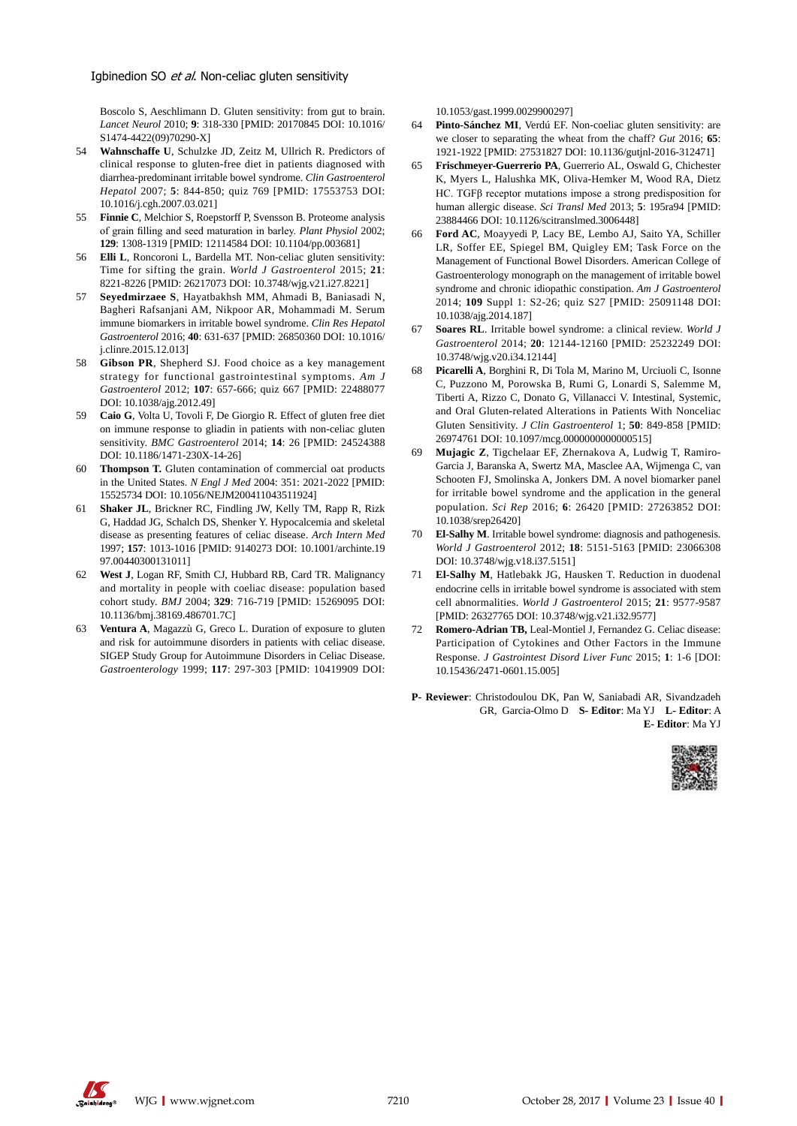Boscolo S, Aeschlimann D. Gluten sensitivity: from gut to brain. *Lancet Neurol* 2010; **9**: 318-330 [PMID: 20170845 DOI: 10.1016/ S1474-4422(09)70290-X]

- 54 **Wahnschaffe U**, Schulzke JD, Zeitz M, Ullrich R. Predictors of clinical response to gluten-free diet in patients diagnosed with diarrhea-predominant irritable bowel syndrome. *Clin Gastroenterol Hepatol* 2007; **5**: 844-850; quiz 769 [PMID: 17553753 DOI: 10.1016/j.cgh.2007.03.021]
- 55 **Finnie C**, Melchior S, Roepstorff P, Svensson B. Proteome analysis of grain filling and seed maturation in barley. *Plant Physiol* 2002; **129**: 1308-1319 [PMID: 12114584 DOI: 10.1104/pp.003681]
- 56 **Elli L**, Roncoroni L, Bardella MT. Non-celiac gluten sensitivity: Time for sifting the grain. *World J Gastroenterol* 2015; **21**: 8221-8226 [PMID: 26217073 DOI: 10.3748/wjg.v21.i27.8221]
- 57 **Seyedmirzaee S**, Hayatbakhsh MM, Ahmadi B, Baniasadi N, Bagheri Rafsanjani AM, Nikpoor AR, Mohammadi M. Serum immune biomarkers in irritable bowel syndrome. *Clin Res Hepatol Gastroenterol* 2016; **40**: 631-637 [PMID: 26850360 DOI: 10.1016/ j.clinre.2015.12.013]
- 58 **Gibson PR**, Shepherd SJ. Food choice as a key management strategy for functional gastrointestinal symptoms. *Am J Gastroenterol* 2012; **107**: 657-666; quiz 667 [PMID: 22488077 DOI: 10.1038/ajg.2012.49]
- 59 **Caio G**, Volta U, Tovoli F, De Giorgio R. Effect of gluten free diet on immune response to gliadin in patients with non-celiac gluten sensitivity. *BMC Gastroenterol* 2014; **14**: 26 [PMID: 24524388 DOI: 10.1186/1471-230X-14-26]
- 60 **Thompson T.** Gluten contamination of commercial oat products in the United States. *N Engl J Med* 2004: 351: 2021-2022 [PMID: 15525734 DOI: 10.1056/NEJM200411043511924]
- 61 **Shaker JL**, Brickner RC, Findling JW, Kelly TM, Rapp R, Rizk G, Haddad JG, Schalch DS, Shenker Y. Hypocalcemia and skeletal disease as presenting features of celiac disease. *Arch Intern Med* 1997; **157**: 1013-1016 [PMID: 9140273 DOI: 10.1001/archinte.19 97.00440300131011]
- 62 **West J**, Logan RF, Smith CJ, Hubbard RB, Card TR. Malignancy and mortality in people with coeliac disease: population based cohort study. *BMJ* 2004; **329**: 716-719 [PMID: 15269095 DOI: 10.1136/bmj.38169.486701.7C]
- 63 **Ventura A**, Magazzù G, Greco L. Duration of exposure to gluten and risk for autoimmune disorders in patients with celiac disease. SIGEP Study Group for Autoimmune Disorders in Celiac Disease. *Gastroenterology* 1999; **117**: 297-303 [PMID: 10419909 DOI:

10.1053/gast.1999.0029900297]

- 64 **Pinto-Sánchez MI**, Verdú EF. Non-coeliac gluten sensitivity: are we closer to separating the wheat from the chaff? *Gut* 2016; **65**: 1921-1922 [PMID: 27531827 DOI: 10.1136/gutjnl-2016-312471]
- 65 **Frischmeyer-Guerrerio PA**, Guerrerio AL, Oswald G, Chichester K, Myers L, Halushka MK, Oliva-Hemker M, Wood RA, Dietz HC. TGFβ receptor mutations impose a strong predisposition for human allergic disease. *Sci Transl Med* 2013; **5**: 195ra94 [PMID: 23884466 DOI: 10.1126/scitranslmed.3006448]
- 66 **Ford AC**, Moayyedi P, Lacy BE, Lembo AJ, Saito YA, Schiller LR, Soffer EE, Spiegel BM, Quigley EM; Task Force on the Management of Functional Bowel Disorders. American College of Gastroenterology monograph on the management of irritable bowel syndrome and chronic idiopathic constipation. *Am J Gastroenterol* 2014; **109** Suppl 1: S2-26; quiz S27 [PMID: 25091148 DOI: 10.1038/ajg.2014.187]
- 67 **Soares RL**. Irritable bowel syndrome: a clinical review. *World J Gastroenterol* 2014; **20**: 12144-12160 [PMID: 25232249 DOI: 10.3748/wjg.v20.i34.12144]
- 68 **Picarelli A**, Borghini R, Di Tola M, Marino M, Urciuoli C, Isonne C, Puzzono M, Porowska B, Rumi G, Lonardi S, Salemme M, Tiberti A, Rizzo C, Donato G, Villanacci V. Intestinal, Systemic, and Oral Gluten-related Alterations in Patients With Nonceliac Gluten Sensitivity. *J Clin Gastroenterol* 1; **50**: 849-858 [PMID: 26974761 DOI: 10.1097/mcg.0000000000000515]
- 69 **Mujagic Z**, Tigchelaar EF, Zhernakova A, Ludwig T, Ramiro-Garcia J, Baranska A, Swertz MA, Masclee AA, Wijmenga C, van Schooten FJ, Smolinska A, Jonkers DM. A novel biomarker panel for irritable bowel syndrome and the application in the general population. *Sci Rep* 2016; **6**: 26420 [PMID: 27263852 DOI: 10.1038/srep26420]
- 70 **El-Salhy M**. Irritable bowel syndrome: diagnosis and pathogenesis. *World J Gastroenterol* 2012; **18**: 5151-5163 [PMID: 23066308 DOI: 10.3748/wjg.v18.i37.5151]
- 71 **El-Salhy M**, Hatlebakk JG, Hausken T. Reduction in duodenal endocrine cells in irritable bowel syndrome is associated with stem cell abnormalities. *World J Gastroenterol* 2015; **21**: 9577-9587 [PMID: 26327765 DOI: 10.3748/wjg.v21.i32.9577]
- Romero-Adrian TB, Leal-Montiel J, Fernandez G. Celiac disease: Participation of Cytokines and Other Factors in the Immune Response. *J Gastrointest Disord Liver Func* 2015; **1**: 1-6 [DOI: 10.15436/2471-0601.15.005]
- **P- Reviewer**: Christodoulou DK, Pan W, Saniabadi AR, Sivandzadeh GR, Garcia-Olmo D **S- Editor**: Ma YJ **L- Editor**: A **E- Editor**: Ma YJ